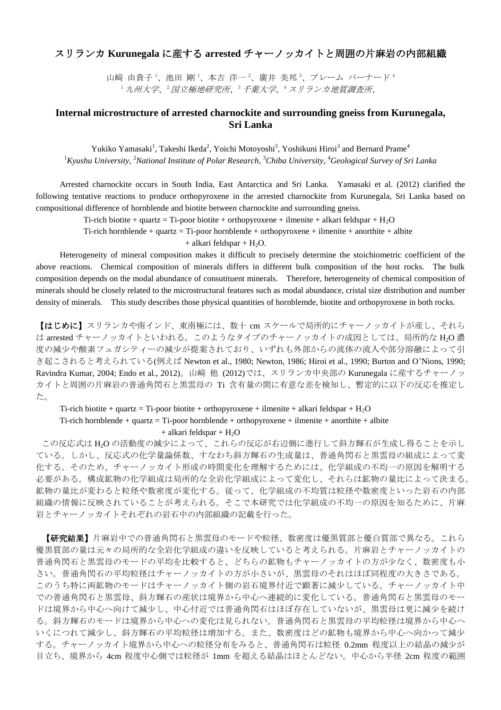## スリランカ **Kurunegala** に産する **arrested** チャーノッカイトと周囲の片麻岩の内部組織

山﨑 由貴子<sup>1</sup>、池田 剛<sup>1</sup>、本吉 洋一<sup>2</sup>、廣井 美邦<sup>3</sup>、プレーム バーナード<sup>4</sup> <sup>1</sup>九州大学、<sup>2</sup>国立極地研究所、<sup>3</sup>千葉大学、<sup>4</sup>スリランカ地質調査所、

## **Internal microstructure of arrested charnockite and surrounding gneiss from Kurunegala, Sri Lanka**

Yukiko Yamasaki<sup>1</sup>, Takeshi Ikeda<sup>2</sup>, Yoichi Motoyoshi<sup>3</sup>, Yoshikuni Hiroi<sup>3</sup> and Bernard Prame<sup>4</sup> <sup>1</sup>*Kyushu University,* <sup>2</sup>*National Institute of Polar Research,* <sup>3</sup>*Chiba University,* <sup>4</sup>*Geological Survey of Sri Lanka*

Arrested charnockite occurs in South India, East Antarctica and Sri Lanka. Yamasaki et al. (2012) clarified the following tentative reactions to produce orthopyroxene in the arrested charnockite from Kurunegala, Sri Lanka based on compositional difference of hornblende and biotite between charnockite and surrounding gneiss.

Ti-rich biotite + quartz = Ti-poor biotite + orthopyroxene + ilmenite + alkari feldspar +  $H_2O$ 

Ti-rich hornblende + quartz = Ti-poor hornblende + orthopyroxene + ilmenite + anorthite + albite

 $+$  alkari feldspar  $+$  H<sub>2</sub>O.

Heterogeneity of mineral composition makes it difficult to precisely determine the stoichiometric coefficient of the above reactions. Chemical composition of minerals differs in different bulk composition of the host rocks. The bulk composition depends on the modal abundance of consutituent minerals. Therefore, heterogeneity of chemical composition of minerals should be closely related to the microstructural features such as modal abundance, cristal size distribution and number density of minerals. This study describes those physical quantities of hornblemde, biotite and orthopyroxene in both rocks.

【はじめに】スリランカや南インド、東南極には、数十 cm スケールで局所的にチャーノッカイトが産し、それら は arrested チャーノッカイトといわれる。このようなタイプのチャーノッカイトの成因としては、局所的な H2O 濃 度の減少や酸素フュガシティーの減少が提案されており、いずれも外部からの流体の流入や部分溶融によって引 き起こされると考えられている(例えば Newton et al., 1980; Newton, 1986; Hiroi et al., 1990; Burton and O'Nions, 1990; Ravindra Kumar, 2004; Endo et al., 2012)。山﨑 他 (2012)では、スリランカ中央部の Kurunegala に産するチャーノッ カイトと周囲の片麻岩の普通角閃石と黒雲母の Ti 含有量の間に有意な差を検知し、暫定的に以下の反応を推定し た。

Ti-rich biotite + quartz = Ti-poor biotite + orthopyroxene + ilmenite + alkari feldspar +  $H_2O$ Ti-rich hornblende + quartz = Ti-poor hornblende + orthopyroxene + ilmenite + anorthite + albite  $+$  alkari feldspar  $+$  H<sub>2</sub>O

この反応式は H2O の活動度の減少によって、これらの反応が右辺側に進行して斜方輝石が生成し得ることを示し ている。しかし、反応式の化学量論係数、すなわち斜方輝石の生成量は、普通角閃石と黒雲母の組成によって変 化する。そのため、チャーノッカイト形成の時間変化を理解するためには、化学組成の不均一の原因を解明する 必要がある。構成鉱物の化学組成は局所的な全岩化学組成によって変化し、それらは鉱物の量比によって決まる。 鉱物の量比が変わると粒径や数密度が変化する。従って、化学組成の不均質は粒径や数密度といった岩石の内部 組織の情報に反映されていることが考えられる。そこで本研究では化学組成の不均一の原因を知るために、片麻 岩とチャーノッカイトそれぞれの岩石中の内部組織の記載を行った。

【研究結果】片麻岩中での普通角閃石と黒雲母のモードや粒径、数密度は優黒質部と優白質部で異なる。これら 優黒質部の量は元々の局所的な全岩化学組成の違いを反映していると考えられる。片麻岩とチャーノッカイトの 普通角閃石と黒雲母のモードの平均を比較すると、どちらの鉱物もチャーノッカイトの方が少なく、数密度も小 さい。普通角閃石の平均粒径はチャーノッカイトの方が小さいが、黒雲母のそれはほぼ同程度の大きさである。 このうち特に両鉱物のモードはチャーノッカイト側の岩石境界付近で顕著に減少している。チャーノッカイト中 での普通角閃石と黒雲母、斜方輝石の産状は境界から中心へ連続的に変化している。普通角閃石と黒雲母のモー ドは境界から中心へ向けて減少し、中心付近では普通角閃石はほぼ存在していないが、黒雲母は更に減少を続け る。斜方輝石のモードは境界から中心への変化は見られない。普通角閃石と黒雲母の平均粒径は境界から中心へ いくにつれて減少し、斜方輝石の平均粒径は増加する。また、数密度はどの鉱物も境界から中心へ向かって減少 する。チャーノッカイト境界から中心への粒径分布をみると、普通角閃石は粒径 0.2mm 程度以上の結晶の減少が 目立ち、境界から 4cm 程度中心側では粒径が 1mm を超える結晶はほとんどない。中心から半径 2cm 程度の範囲